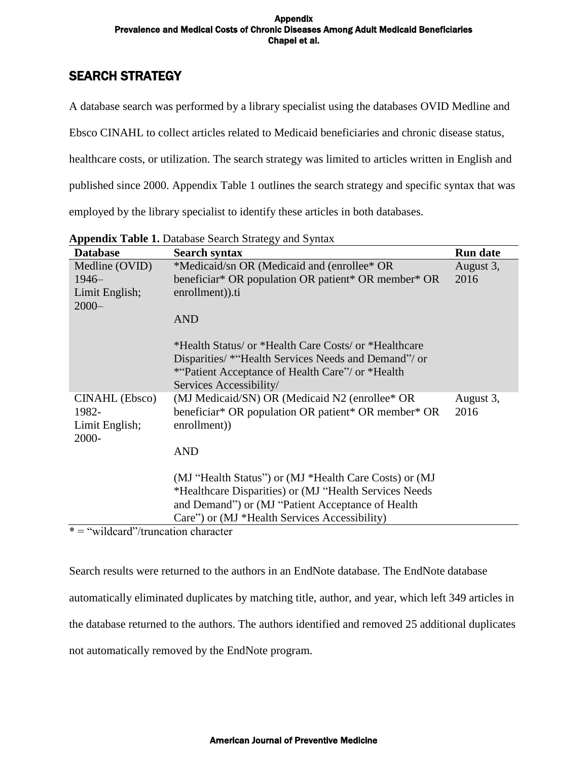# SEARCH STRATEGY

A database search was performed by a library specialist using the databases OVID Medline and

Ebsco CINAHL to collect articles related to Medicaid beneficiaries and chronic disease status,

healthcare costs, or utilization. The search strategy was limited to articles written in English and

published since 2000. Appendix Table 1 outlines the search strategy and specific syntax that was

employed by the library specialist to identify these articles in both databases.

| <b>Database</b>                                    | Search syntax                                                                                                                                                                                                           | <b>Run date</b>   |
|----------------------------------------------------|-------------------------------------------------------------------------------------------------------------------------------------------------------------------------------------------------------------------------|-------------------|
| Medline (OVID)                                     | *Medicaid/sn OR (Medicaid and (enrollee* OR                                                                                                                                                                             | August 3,         |
| $1946-$                                            | beneficiar* OR population OR patient* OR member* OR                                                                                                                                                                     | 2016              |
| Limit English;                                     | enrollment)).ti                                                                                                                                                                                                         |                   |
| $2000 -$                                           |                                                                                                                                                                                                                         |                   |
|                                                    | <b>AND</b>                                                                                                                                                                                                              |                   |
|                                                    | *Health Status/ or *Health Care Costs/ or *Healthcare<br>Disparities/ * "Health Services Needs and Demand"/ or<br><i>*</i> "Patient Acceptance of Health Care"/ or *Health<br>Services Accessibility/                   |                   |
| CINAHL (Ebsco)<br>1982-<br>Limit English;<br>2000- | (MJ Medicaid/SN) OR (Medicaid N2 (enrollee* OR<br>beneficiar* OR population OR patient* OR member* OR<br>enrollment))                                                                                                   | August 3,<br>2016 |
|                                                    | <b>AND</b>                                                                                                                                                                                                              |                   |
|                                                    | (MJ "Health Status") or (MJ *Health Care Costs) or (MJ<br>*Healthcare Disparities) or (MJ "Health Services Needs"<br>and Demand") or (MJ "Patient Acceptance of Health<br>Care") or (MJ *Health Services Accessibility) |                   |

**Appendix Table 1.** Database Search Strategy and Syntax

\* = "wildcard"/truncation character

Search results were returned to the authors in an EndNote database. The EndNote database automatically eliminated duplicates by matching title, author, and year, which left 349 articles in the database returned to the authors. The authors identified and removed 25 additional duplicates not automatically removed by the EndNote program.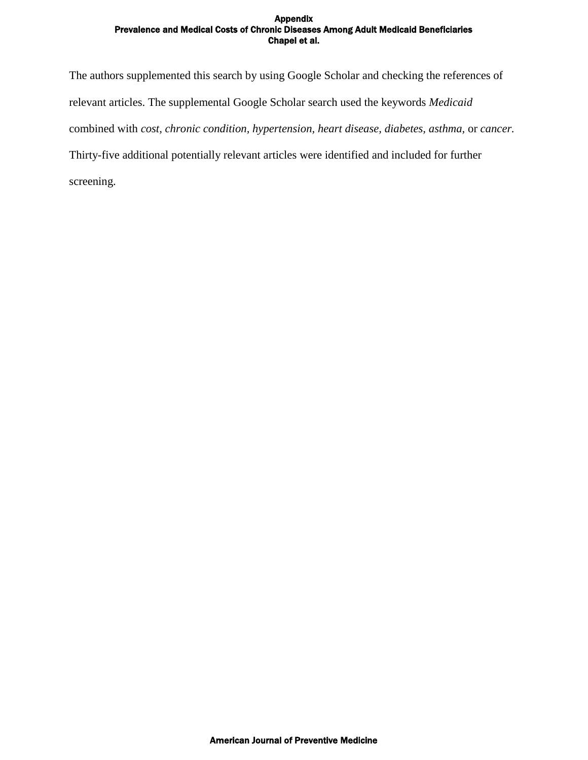The authors supplemented this search by using Google Scholar and checking the references of relevant articles. The supplemental Google Scholar search used the keywords *Medicaid*  combined with *cost, chronic condition, hypertension, heart disease, diabetes, asthma,* or *cancer.*  Thirty-five additional potentially relevant articles were identified and included for further screening.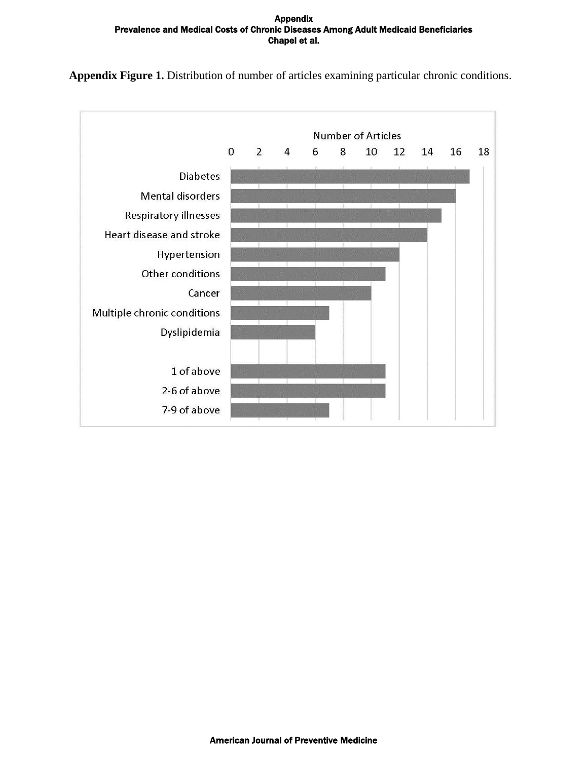**Appendix Figure 1.** Distribution of number of articles examining particular chronic conditions.

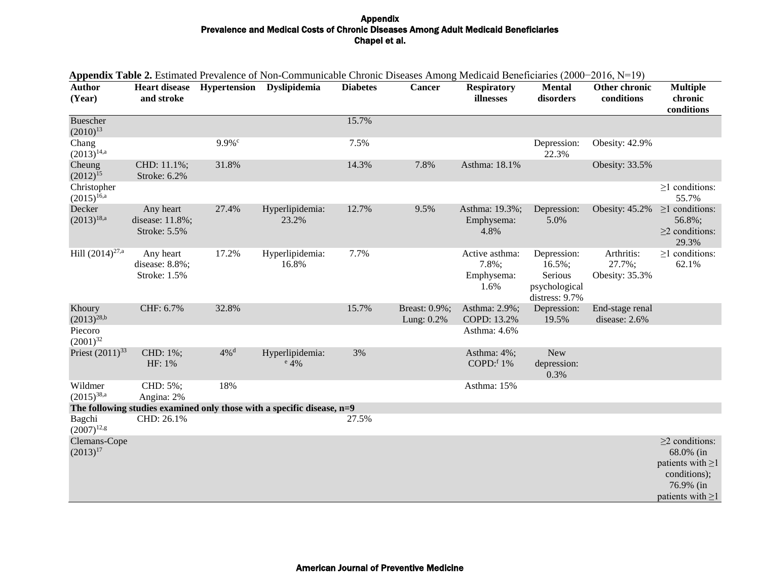| <b>Author</b><br>(Year)          | and stroke                                         |                      | пррения тари 2. Емпасса года систем от гон-Соннципсало сполне Diseases Annong wicereated Denenciates (2000–2010, гд т.7)<br>Heart disease Hypertension Dyslipidemia | <b>Diabetes</b> | <b>Cancer</b>                  | <b>Respiratory</b><br>illnesses               | <b>Mental</b><br>disorders                                              | Other chronic<br>conditions            | <b>Multiple</b><br>chronic<br>conditions                                                                           |
|----------------------------------|----------------------------------------------------|----------------------|---------------------------------------------------------------------------------------------------------------------------------------------------------------------|-----------------|--------------------------------|-----------------------------------------------|-------------------------------------------------------------------------|----------------------------------------|--------------------------------------------------------------------------------------------------------------------|
| <b>Buescher</b><br>$(2010)^{13}$ |                                                    |                      |                                                                                                                                                                     | 15.7%           |                                |                                               |                                                                         |                                        |                                                                                                                    |
| Chang<br>$(2013)^{14,a}$         |                                                    | $9.9\%$ <sup>c</sup> |                                                                                                                                                                     | 7.5%            |                                |                                               | Depression:<br>22.3%                                                    | Obesity: 42.9%                         |                                                                                                                    |
| Cheung<br>$(2012)^{15}$          | CHD: 11.1%;<br>Stroke: 6.2%                        | 31.8%                |                                                                                                                                                                     | 14.3%           | 7.8%                           | Asthma: 18.1%                                 |                                                                         | Obesity: 33.5%                         |                                                                                                                    |
| Christopher<br>$(2015)^{16,a}$   |                                                    |                      |                                                                                                                                                                     |                 |                                |                                               |                                                                         |                                        | $\geq$ 1 conditions:<br>55.7%                                                                                      |
| Decker<br>$(2013)^{18,a}$        | Any heart<br>disease: 11.8%;<br>Stroke: 5.5%       | 27.4%                | Hyperlipidemia:<br>23.2%                                                                                                                                            | 12.7%           | 9.5%                           | Asthma: 19.3%;<br>Emphysema:<br>4.8%          | Depression:<br>5.0%                                                     | Obesity: 45.2%                         | $\geq$ 1 conditions:<br>56.8%;<br>$\geq$ 2 conditions:<br>29.3%                                                    |
| Hill $(2014)^{27,a}$             | Any heart<br>disease: 8.8%;<br><b>Stroke: 1.5%</b> | 17.2%                | Hyperlipidemia:<br>16.8%                                                                                                                                            | 7.7%            |                                | Active asthma:<br>7.8%;<br>Emphysema:<br>1.6% | Depression:<br>$16.5\%$ ;<br>Serious<br>psychological<br>distress: 9.7% | Arthritis:<br>27.7%;<br>Obesity: 35.3% | $\geq$ 1 conditions:<br>62.1%                                                                                      |
| Khoury<br>$(2013)^{28,b}$        | CHF: 6.7%                                          | 32.8%                |                                                                                                                                                                     | 15.7%           | Breast: 0.9%;<br>Lung: $0.2\%$ | Asthma: 2.9%;<br>COPD: 13.2%                  | Depression:<br>19.5%                                                    | End-stage renal<br>disease: 2.6%       |                                                                                                                    |
| Piecoro<br>$(2001)^{32}$         |                                                    |                      |                                                                                                                                                                     |                 |                                | Asthma: 4.6%                                  |                                                                         |                                        |                                                                                                                    |
| Priest $(2011)^{33}$             | CHD: 1%;<br>HF: 1%                                 | $4\%$ <sup>d</sup>   | Hyperlipidemia:<br>$e$ 4%                                                                                                                                           | 3%              |                                | Asthma: 4%;<br>COPD: $f1\%$                   | <b>New</b><br>depression:<br>0.3%                                       |                                        |                                                                                                                    |
| Wildmer<br>$(2015)^{38,a}$       | CHD: 5%;<br>Angina: 2%                             | 18%                  |                                                                                                                                                                     |                 |                                | Asthma: 15%                                   |                                                                         |                                        |                                                                                                                    |
|                                  |                                                    |                      | The following studies examined only those with a specific disease, n=9                                                                                              |                 |                                |                                               |                                                                         |                                        |                                                                                                                    |
| Bagchi<br>$(2007)^{12,g}$        | CHD: 26.1%                                         |                      |                                                                                                                                                                     | 27.5%           |                                |                                               |                                                                         |                                        |                                                                                                                    |
| Clemans-Cope<br>$(2013)^{17}$    |                                                    |                      |                                                                                                                                                                     |                 |                                |                                               |                                                                         |                                        | $\geq$ 2 conditions:<br>68.0% (in<br>patients with $\geq$ 1<br>conditions);<br>76.9% (in<br>patients with $\geq$ 1 |

# **Appendix Table 2.** Estimated Prevalence of Non-Communicable Chronic Diseases Among Medicaid Beneficiaries (2000−2016, N=19)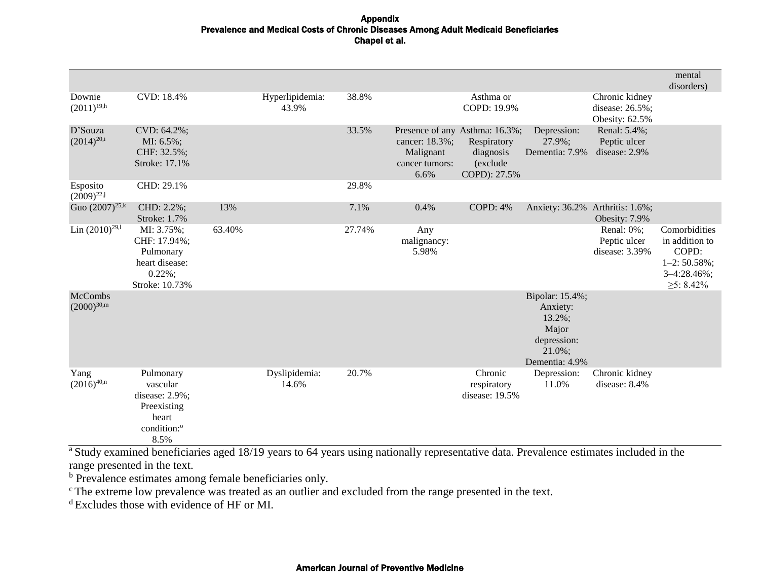|                                   |                                                                                                    |        |                          |        |                                                       |                                                                                        |                                                                                               |                                                     | mental<br>disorders)                                                                                   |
|-----------------------------------|----------------------------------------------------------------------------------------------------|--------|--------------------------|--------|-------------------------------------------------------|----------------------------------------------------------------------------------------|-----------------------------------------------------------------------------------------------|-----------------------------------------------------|--------------------------------------------------------------------------------------------------------|
| Downie<br>$(2011)^{19,h}$         | CVD: 18.4%                                                                                         |        | Hyperlipidemia:<br>43.9% | 38.8%  |                                                       | Asthma or<br>COPD: 19.9%                                                               |                                                                                               | Chronic kidney<br>disease: 26.5%;<br>Obesity: 62.5% |                                                                                                        |
| D'Souza<br>$(2014)^{20,i}$        | CVD: 64.2%;<br>MI: 6.5%;<br>CHF: 32.5%;<br>Stroke: 17.1%                                           |        |                          | 33.5%  | cancer: 18.3%;<br>Malignant<br>cancer tumors:<br>6.6% | Presence of any Asthma: 16.3%;<br>Respiratory<br>diagnosis<br>(exclude<br>COPD): 27.5% | Depression:<br>27.9%;<br>Dementia: 7.9%                                                       | Renal: 5.4%;<br>Peptic ulcer<br>disease: 2.9%       |                                                                                                        |
| Esposito<br>$(2009)^{22,j}$       | CHD: 29.1%                                                                                         |        |                          | 29.8%  |                                                       |                                                                                        |                                                                                               |                                                     |                                                                                                        |
| Guo $(2007)^{25,k}$               | CHD: 2.2%;<br>Stroke: 1.7%                                                                         | 13%    |                          | 7.1%   | 0.4%                                                  | <b>COPD: 4%</b>                                                                        | Anxiety: 36.2% Arthritis: 1.6%;                                                               | Obesity: 7.9%                                       |                                                                                                        |
| Lin $(2010)^{29,1}$               | MI: 3.75%;<br>CHF: 17.94%;<br>Pulmonary<br>heart disease:<br>$0.22\%$ ;<br>Stroke: 10.73%          | 63.40% |                          | 27.74% | Any<br>malignancy:<br>5.98%                           |                                                                                        |                                                                                               | Renal: 0%;<br>Peptic ulcer<br>disease: 3.39%        | Comorbidities<br>in addition to<br>COPD:<br>$1 - 2:50.58\%$ ;<br>$3 - 4:28.46\%$ ;<br>$\geq 5$ : 8.42% |
| <b>McCombs</b><br>$(2000)^{30,m}$ |                                                                                                    |        |                          |        |                                                       |                                                                                        | Bipolar: 15.4%;<br>Anxiety:<br>13.2%;<br>Major<br>depression:<br>$21.0\%$ ;<br>Dementia: 4.9% |                                                     |                                                                                                        |
| Yang<br>$(2016)^{40,n}$           | Pulmonary<br>vascular<br>disease: 2.9%;<br>Preexisting<br>heart<br>condition: <sup>o</sup><br>8.5% |        | Dyslipidemia:<br>14.6%   | 20.7%  |                                                       | Chronic<br>respiratory<br>disease: 19.5%                                               | Depression:<br>11.0%                                                                          | Chronic kidney<br>disease: 8.4%                     |                                                                                                        |

<sup>a</sup> Study examined beneficiaries aged 18/19 years to 64 years using nationally representative data. Prevalence estimates included in the range presented in the text.

<sup>b</sup> Prevalence estimates among female beneficiaries only.

<sup>c</sup>The extreme low prevalence was treated as an outlier and excluded from the range presented in the text.

<sup>d</sup> Excludes those with evidence of HF or MI.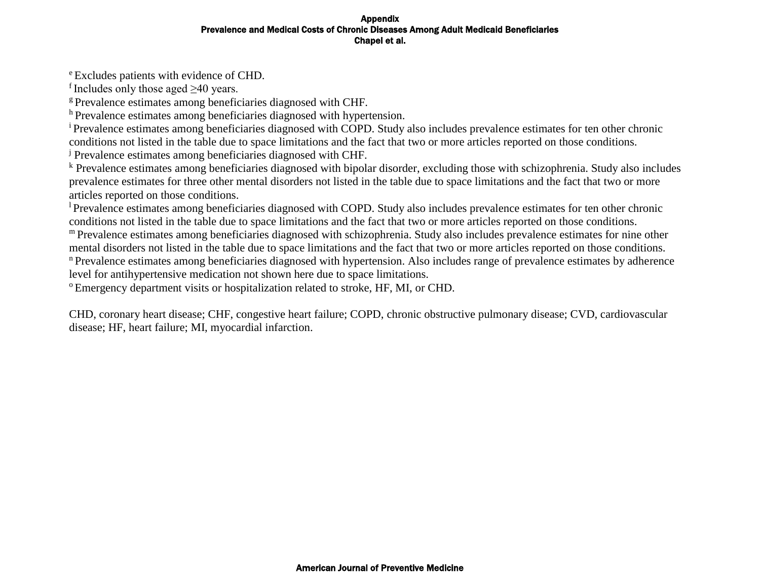<sup>e</sup> Excludes patients with evidence of CHD.

f Includes only those aged  $\geq 40$  years.

<sup>g</sup> Prevalence estimates among beneficiaries diagnosed with CHF.

h Prevalence estimates among beneficiaries diagnosed with hypertension.

<sup>i</sup>Prevalence estimates among beneficiaries diagnosed with COPD. Study also includes prevalence estimates for ten other chronic conditions not listed in the table due to space limitations and the fact that two or more articles reported on those conditions.

<sup>j</sup> Prevalence estimates among beneficiaries diagnosed with CHF.

<sup>k</sup> Prevalence estimates among beneficiaries diagnosed with bipolar disorder, excluding those with schizophrenia. Study also includes prevalence estimates for three other mental disorders not listed in the table due to space limitations and the fact that two or more articles reported on those conditions.

<sup>l</sup>Prevalence estimates among beneficiaries diagnosed with COPD. Study also includes prevalence estimates for ten other chronic conditions not listed in the table due to space limitations and the fact that two or more articles reported on those conditions.

m Prevalence estimates among beneficiaries diagnosed with schizophrenia. Study also includes prevalence estimates for nine other mental disorders not listed in the table due to space limitations and the fact that two or more articles reported on those conditions. <sup>n</sup>Prevalence estimates among beneficiaries diagnosed with hypertension. Also includes range of prevalence estimates by adherence

level for antihypertensive medication not shown here due to space limitations.

<sup>o</sup>Emergency department visits or hospitalization related to stroke, HF, MI, or CHD.

CHD, coronary heart disease; CHF, congestive heart failure; COPD, chronic obstructive pulmonary disease; CVD, cardiovascular disease; HF, heart failure; MI, myocardial infarction.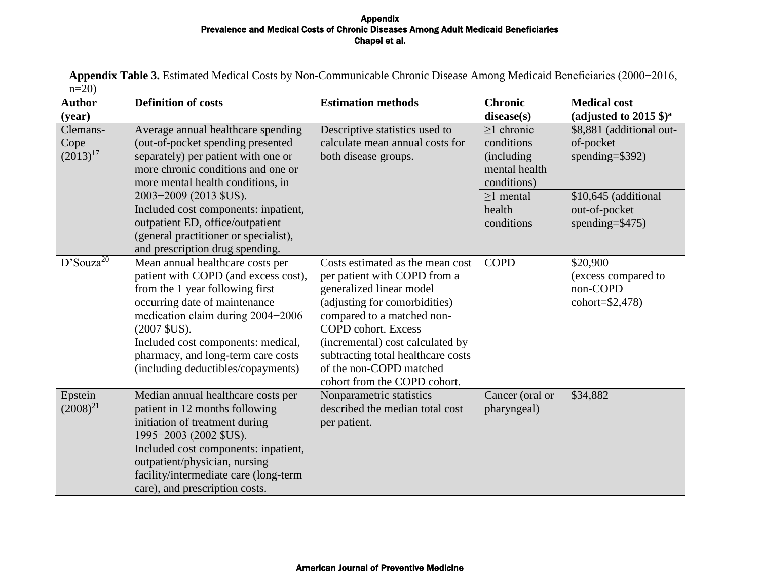**Appendix Table 3.** Estimated Medical Costs by Non-Communicable Chronic Disease Among Medicaid Beneficiaries (2000−2016,  $n=20$ )

| <b>Author</b>                     | <b>Definition of costs</b>                                                                                                                                                                                                                                                                                            | <b>Estimation methods</b>                                                                                                                                                                                                                                                                                                      | <b>Chronic</b>                                                                   | <b>Medical cost</b>                                               |
|-----------------------------------|-----------------------------------------------------------------------------------------------------------------------------------------------------------------------------------------------------------------------------------------------------------------------------------------------------------------------|--------------------------------------------------------------------------------------------------------------------------------------------------------------------------------------------------------------------------------------------------------------------------------------------------------------------------------|----------------------------------------------------------------------------------|-------------------------------------------------------------------|
| (year)                            |                                                                                                                                                                                                                                                                                                                       |                                                                                                                                                                                                                                                                                                                                | $discase(s)$                                                                     | (adjusted to 2015 $\gamma$ <sup>a</sup>                           |
| Clemans-<br>Cope<br>$(2013)^{17}$ | Average annual healthcare spending<br>(out-of-pocket spending presented<br>separately) per patient with one or<br>more chronic conditions and one or<br>more mental health conditions, in                                                                                                                             | Descriptive statistics used to<br>calculate mean annual costs for<br>both disease groups.                                                                                                                                                                                                                                      | $>1$ chronic<br>conditions<br><i>(including)</i><br>mental health<br>conditions) | \$8,881 (additional out-<br>of-pocket<br>spending= $$392)$        |
|                                   | 2003-2009 (2013 \$US).<br>Included cost components: inpatient,<br>outpatient ED, office/outpatient<br>(general practitioner or specialist),<br>and prescription drug spending.                                                                                                                                        |                                                                                                                                                                                                                                                                                                                                | $>1$ mental<br>health<br>conditions                                              | \$10,645 (additional<br>out-of-pocket<br>spending= $$475)$        |
| $D'Souza^{20}$                    | Mean annual healthcare costs per<br>patient with COPD (and excess cost),<br>from the 1 year following first<br>occurring date of maintenance<br>medication claim during 2004-2006<br>$(2007$ \$US).<br>Included cost components: medical,<br>pharmacy, and long-term care costs<br>(including deductibles/copayments) | Costs estimated as the mean cost<br>per patient with COPD from a<br>generalized linear model<br>(adjusting for comorbidities)<br>compared to a matched non-<br><b>COPD</b> cohort. Excess<br>(incremental) cost calculated by<br>subtracting total healthcare costs<br>of the non-COPD matched<br>cohort from the COPD cohort. | <b>COPD</b>                                                                      | \$20,900<br>(excess compared to<br>non-COPD<br>cohort= $$2,478$ ) |
| Epstein<br>$(2008)^{21}$          | Median annual healthcare costs per<br>patient in 12 months following<br>initiation of treatment during<br>1995-2003 (2002 \$US).<br>Included cost components: inpatient,<br>outpatient/physician, nursing<br>facility/intermediate care (long-term<br>care), and prescription costs.                                  | Nonparametric statistics<br>described the median total cost<br>per patient.                                                                                                                                                                                                                                                    | Cancer (oral or<br>pharyngeal)                                                   | \$34,882                                                          |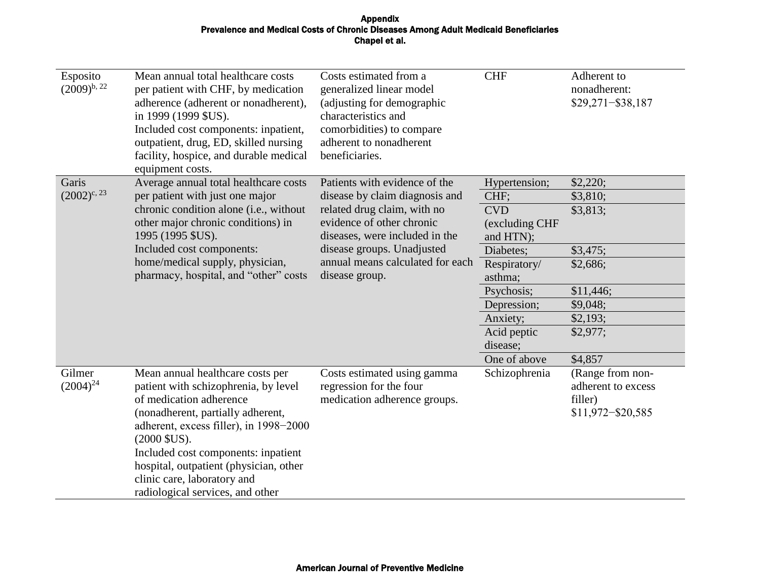| Esposito<br>$(2009)^{b, 22}$ | Mean annual total healthcare costs<br>per patient with CHF, by medication<br>adherence (adherent or nonadherent),<br>in 1999 (1999 \$US).<br>Included cost components: inpatient,<br>outpatient, drug, ED, skilled nursing<br>facility, hospice, and durable medical<br>equipment costs.                                                                 | Costs estimated from a<br>generalized linear model<br>(adjusting for demographic<br>characteristics and<br>comorbidities) to compare<br>adherent to nonadherent<br>beneficiaries.                                                                 | <b>CHF</b>                                                                                                                                                                                     | Adherent to<br>nonadherent:<br>$$29,271 - $38,187$                                                                   |
|------------------------------|----------------------------------------------------------------------------------------------------------------------------------------------------------------------------------------------------------------------------------------------------------------------------------------------------------------------------------------------------------|---------------------------------------------------------------------------------------------------------------------------------------------------------------------------------------------------------------------------------------------------|------------------------------------------------------------------------------------------------------------------------------------------------------------------------------------------------|----------------------------------------------------------------------------------------------------------------------|
| Garis<br>$(2002)^{c, 23}$    | Average annual total healthcare costs<br>per patient with just one major<br>chronic condition alone (i.e., without<br>other major chronic conditions) in<br>1995 (1995 \$US).<br>Included cost components:<br>home/medical supply, physician,<br>pharmacy, hospital, and "other" costs                                                                   | Patients with evidence of the<br>disease by claim diagnosis and<br>related drug claim, with no<br>evidence of other chronic<br>diseases, were included in the<br>disease groups. Unadjusted<br>annual means calculated for each<br>disease group. | Hypertension;<br>CHF;<br><b>CVD</b><br>(excluding CHF<br>and HTN);<br>Diabetes;<br>Respiratory/<br>asthma;<br>Psychosis;<br>Depression;<br>Anxiety;<br>Acid peptic<br>disease;<br>One of above | \$2,220;<br>\$3,810;<br>\$3,813;<br>\$3,475;<br>\$2,686;<br>\$11,446;<br>\$9,048;<br>\$2,193;<br>\$2,977;<br>\$4,857 |
| Gilmer<br>$(2004)^{24}$      | Mean annual healthcare costs per<br>patient with schizophrenia, by level<br>of medication adherence<br>(nonadherent, partially adherent,<br>adherent, excess filler), in 1998-2000<br>$(2000$ \$US).<br>Included cost components: inpatient<br>hospital, outpatient (physician, other<br>clinic care, laboratory and<br>radiological services, and other | Costs estimated using gamma<br>regression for the four<br>medication adherence groups.                                                                                                                                                            | Schizophrenia                                                                                                                                                                                  | (Range from non-<br>adherent to excess<br>filler)<br>$$11,972 - $20,585$                                             |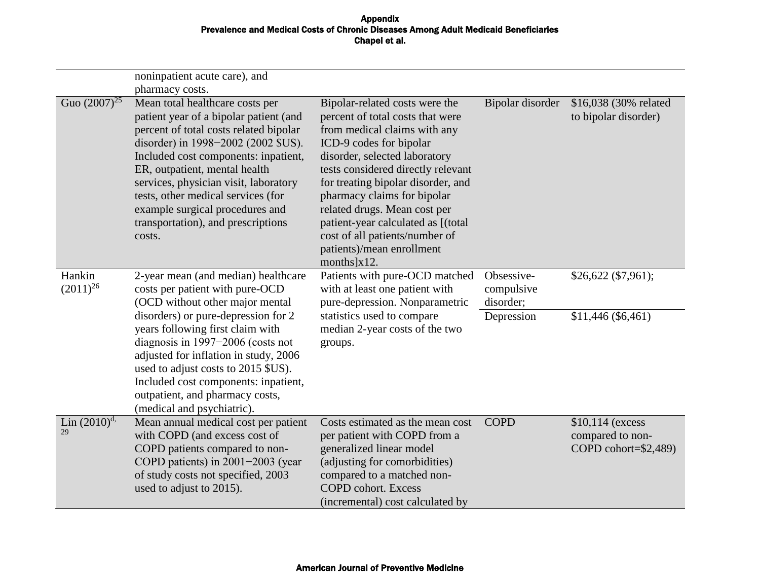|                          | noninpatient acute care), and                                                                                                                                                                                                                                                                                                                                                                                            |                                                                                                                                                                                                                                                                                                                                                                                                                                  |                                       |                                                              |
|--------------------------|--------------------------------------------------------------------------------------------------------------------------------------------------------------------------------------------------------------------------------------------------------------------------------------------------------------------------------------------------------------------------------------------------------------------------|----------------------------------------------------------------------------------------------------------------------------------------------------------------------------------------------------------------------------------------------------------------------------------------------------------------------------------------------------------------------------------------------------------------------------------|---------------------------------------|--------------------------------------------------------------|
| Guo $(2007)^{25}$        | pharmacy costs.<br>Mean total healthcare costs per<br>patient year of a bipolar patient (and<br>percent of total costs related bipolar<br>disorder) in 1998–2002 (2002 \$US).<br>Included cost components: inpatient,<br>ER, outpatient, mental health<br>services, physician visit, laboratory<br>tests, other medical services (for<br>example surgical procedures and<br>transportation), and prescriptions<br>costs. | Bipolar-related costs were the<br>percent of total costs that were<br>from medical claims with any<br>ICD-9 codes for bipolar<br>disorder, selected laboratory<br>tests considered directly relevant<br>for treating bipolar disorder, and<br>pharmacy claims for bipolar<br>related drugs. Mean cost per<br>patient-year calculated as [(total<br>cost of all patients/number of<br>patients)/mean enrollment<br>months $x12$ . | Bipolar disorder                      | \$16,038 (30% related<br>to bipolar disorder)                |
| Hankin<br>$(2011)^{26}$  | 2-year mean (and median) healthcare<br>costs per patient with pure-OCD<br>(OCD without other major mental                                                                                                                                                                                                                                                                                                                | Patients with pure-OCD matched<br>with at least one patient with<br>pure-depression. Nonparametric                                                                                                                                                                                                                                                                                                                               | Obsessive-<br>compulsive<br>disorder; | $$26,622$ (\$7,961);                                         |
|                          | disorders) or pure-depression for 2<br>years following first claim with<br>diagnosis in $1997-2006$ (costs not<br>adjusted for inflation in study, 2006<br>used to adjust costs to 2015 \$US).<br>Included cost components: inpatient,<br>outpatient, and pharmacy costs,<br>(medical and psychiatric).                                                                                                                  | statistics used to compare<br>median 2-year costs of the two<br>groups.                                                                                                                                                                                                                                                                                                                                                          | Depression                            | \$11,446 (\$6,461)                                           |
| Lin $(2010)^{d}$ ,<br>29 | Mean annual medical cost per patient<br>with COPD (and excess cost of<br>COPD patients compared to non-<br>COPD patients) in $2001-2003$ (year<br>of study costs not specified, 2003<br>used to adjust to 2015).                                                                                                                                                                                                         | Costs estimated as the mean cost<br>per patient with COPD from a<br>generalized linear model<br>(adjusting for comorbidities)<br>compared to a matched non-<br><b>COPD</b> cohort. Excess<br>(incremental) cost calculated by                                                                                                                                                                                                    | <b>COPD</b>                           | \$10,114 (excess<br>compared to non-<br>COPD cohort=\$2,489) |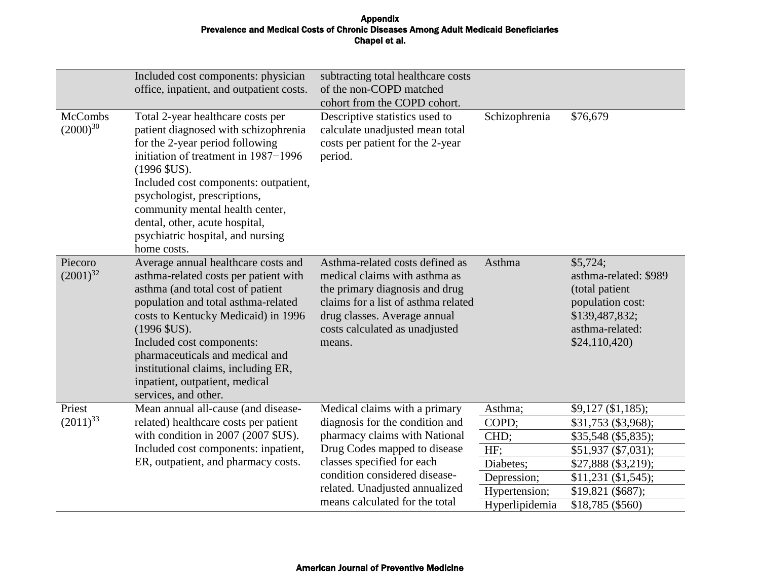|                                 | Included cost components: physician<br>office, inpatient, and outpatient costs.                                                                                                                                                                                                                                                                                                    | subtracting total healthcare costs<br>of the non-COPD matched<br>cohort from the COPD cohort.                                                                                                                         |                          |                                                                                                                              |
|---------------------------------|------------------------------------------------------------------------------------------------------------------------------------------------------------------------------------------------------------------------------------------------------------------------------------------------------------------------------------------------------------------------------------|-----------------------------------------------------------------------------------------------------------------------------------------------------------------------------------------------------------------------|--------------------------|------------------------------------------------------------------------------------------------------------------------------|
| <b>McCombs</b><br>$(2000)^{30}$ | Total 2-year healthcare costs per<br>patient diagnosed with schizophrenia<br>for the 2-year period following<br>initiation of treatment in 1987–1996<br>$(1996$ \$US).<br>Included cost components: outpatient,<br>psychologist, prescriptions,<br>community mental health center,<br>dental, other, acute hospital,<br>psychiatric hospital, and nursing<br>home costs.           | Descriptive statistics used to<br>calculate unadjusted mean total<br>costs per patient for the 2-year<br>period.                                                                                                      | Schizophrenia            | \$76,679                                                                                                                     |
| Piecoro<br>$(2001)^{32}$        | Average annual healthcare costs and<br>asthma-related costs per patient with<br>asthma (and total cost of patient<br>population and total asthma-related<br>costs to Kentucky Medicaid) in 1996<br>$(1996$ \$US).<br>Included cost components:<br>pharmaceuticals and medical and<br>institutional claims, including ER,<br>inpatient, outpatient, medical<br>services, and other. | Asthma-related costs defined as<br>medical claims with asthma as<br>the primary diagnosis and drug<br>claims for a list of asthma related<br>drug classes. Average annual<br>costs calculated as unadjusted<br>means. | Asthma                   | \$5,724;<br>asthma-related: \$989<br>(total patient<br>population cost:<br>\$139,487,832;<br>asthma-related:<br>\$24,110,420 |
| Priest                          | Mean annual all-cause (and disease-                                                                                                                                                                                                                                                                                                                                                | Medical claims with a primary                                                                                                                                                                                         | Asthma;                  | $$9,127 \; ($1,185);$                                                                                                        |
| $(2011)^{33}$                   | related) healthcare costs per patient<br>with condition in 2007 (2007 \$US).                                                                                                                                                                                                                                                                                                       | diagnosis for the condition and<br>pharmacy claims with National                                                                                                                                                      | COPD;                    | \$31,753 (\$3,968);                                                                                                          |
|                                 | Included cost components: inpatient,                                                                                                                                                                                                                                                                                                                                               | Drug Codes mapped to disease                                                                                                                                                                                          | CHD;                     | \$35,548 (\$5,835);                                                                                                          |
|                                 | ER, outpatient, and pharmacy costs.                                                                                                                                                                                                                                                                                                                                                | classes specified for each                                                                                                                                                                                            | HF:                      | $$51,937$ (\$7,031);                                                                                                         |
|                                 |                                                                                                                                                                                                                                                                                                                                                                                    | condition considered disease-                                                                                                                                                                                         | Diabetes;<br>Depression; | \$27,888 (\$3,219);<br>$$11,231$ (\$1,545);                                                                                  |
|                                 |                                                                                                                                                                                                                                                                                                                                                                                    | related. Unadjusted annualized                                                                                                                                                                                        | Hypertension;            | $$19,821$ (\$687);                                                                                                           |
|                                 |                                                                                                                                                                                                                                                                                                                                                                                    | means calculated for the total                                                                                                                                                                                        | Hyperlipidemia           | \$18,785 (\$560)                                                                                                             |
|                                 |                                                                                                                                                                                                                                                                                                                                                                                    |                                                                                                                                                                                                                       |                          |                                                                                                                              |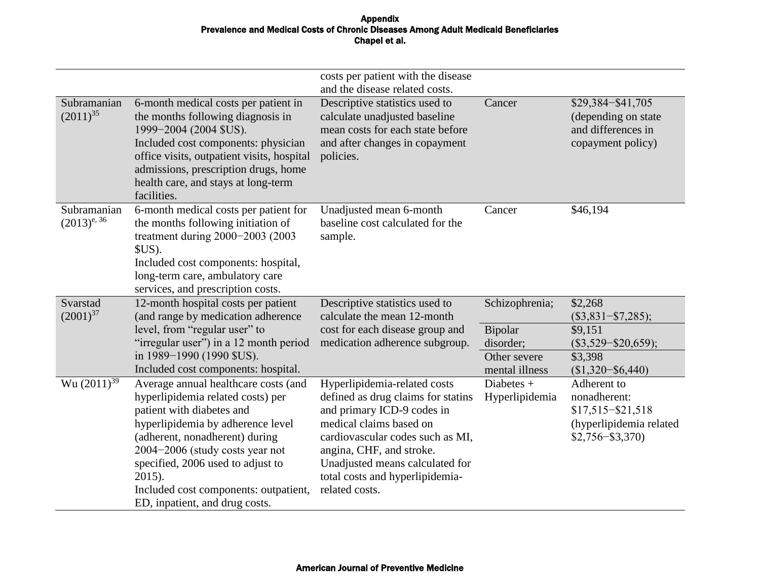|                                 |                                                                                                                                                                                                                                                                                                                                            | costs per patient with the disease<br>and the disease related costs.                                                                                                                                                                                                                |                                                        |                                                                                                    |
|---------------------------------|--------------------------------------------------------------------------------------------------------------------------------------------------------------------------------------------------------------------------------------------------------------------------------------------------------------------------------------------|-------------------------------------------------------------------------------------------------------------------------------------------------------------------------------------------------------------------------------------------------------------------------------------|--------------------------------------------------------|----------------------------------------------------------------------------------------------------|
| Subramanian<br>$(2011)^{35}$    | 6-month medical costs per patient in<br>the months following diagnosis in<br>1999-2004 (2004 \$US).<br>Included cost components: physician<br>office visits, outpatient visits, hospital<br>admissions, prescription drugs, home<br>health care, and stays at long-term<br>facilities.                                                     | Descriptive statistics used to<br>calculate unadjusted baseline<br>mean costs for each state before<br>and after changes in copayment<br>policies.                                                                                                                                  | Cancer                                                 | \$29,384-\$41,705<br>(depending on state)<br>and differences in<br>copayment policy)               |
| Subramanian<br>$(2013)^{e, 36}$ | 6-month medical costs per patient for<br>the months following initiation of<br>treatment during $2000-2003$ (2003<br>\$US).<br>Included cost components: hospital,<br>long-term care, ambulatory care<br>services, and prescription costs.                                                                                                 | Unadjusted mean 6-month<br>baseline cost calculated for the<br>sample.                                                                                                                                                                                                              | Cancer                                                 | \$46,194                                                                                           |
| Svarstad<br>$(2001)^{37}$       | 12-month hospital costs per patient<br>(and range by medication adherence                                                                                                                                                                                                                                                                  | Descriptive statistics used to<br>calculate the mean 12-month                                                                                                                                                                                                                       | Schizophrenia;                                         | \$2,268<br>$(\$3,831-\$7,285);$                                                                    |
|                                 | level, from "regular user" to<br>"irregular user") in a 12 month period<br>in 1989-1990 (1990 \$US).<br>Included cost components: hospital.                                                                                                                                                                                                | cost for each disease group and<br>medication adherence subgroup.                                                                                                                                                                                                                   | Bipolar<br>disorder;<br>Other severe<br>mental illness | \$9,151<br>$(\$3,529 - \$20,659);$<br>\$3,398<br>$($1,320 - $6,440)$                               |
| Wu $(2011)^{39}$                | Average annual healthcare costs (and<br>hyperlipidemia related costs) per<br>patient with diabetes and<br>hyperlipidemia by adherence level<br>(adherent, nonadherent) during<br>2004-2006 (study costs year not<br>specified, 2006 used to adjust to<br>2015).<br>Included cost components: outpatient,<br>ED, inpatient, and drug costs. | Hyperlipidemia-related costs<br>defined as drug claims for statins<br>and primary ICD-9 codes in<br>medical claims based on<br>cardiovascular codes such as MI,<br>angina, CHF, and stroke.<br>Unadjusted means calculated for<br>total costs and hyperlipidemia-<br>related costs. | Diabetes $+$<br>Hyperlipidemia                         | Adherent to<br>nonadherent:<br>$$17,515 - $21,518$<br>(hyperlipidemia related<br>$$2,756 - $3,370$ |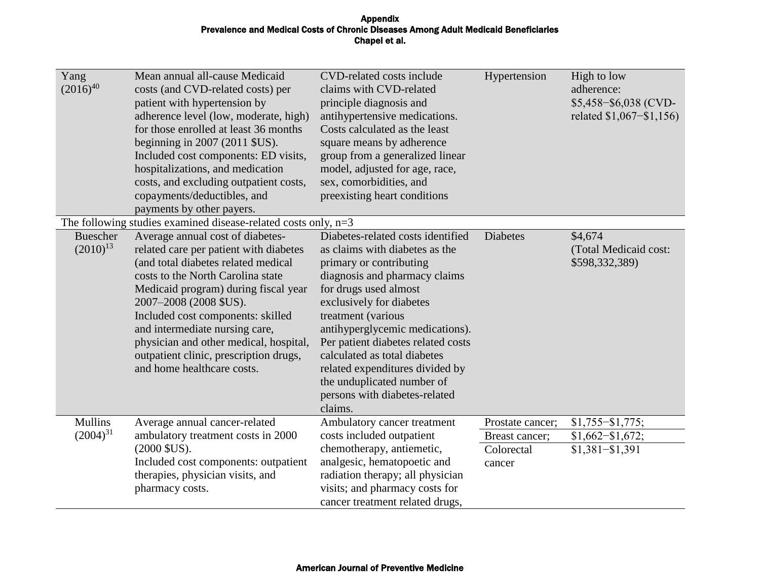| Yang<br>$(2016)^{40}$            | Mean annual all-cause Medicaid<br>costs (and CVD-related costs) per<br>patient with hypertension by<br>adherence level (low, moderate, high)<br>for those enrolled at least 36 months<br>beginning in $2007$ ( $2011$ $SUS$ ).<br>Included cost components: ED visits,<br>hospitalizations, and medication<br>costs, and excluding outpatient costs,<br>copayments/deductibles, and<br>payments by other payers.  | CVD-related costs include<br>claims with CVD-related<br>principle diagnosis and<br>antihypertensive medications.<br>Costs calculated as the least<br>square means by adherence<br>group from a generalized linear<br>model, adjusted for age, race,<br>sex, comorbidities, and<br>preexisting heart conditions                                                                                                                   | Hypertension     | High to low<br>adherence:<br>\$5,458-\$6,038 (CVD-<br>related \$1,067–\$1,156) |
|----------------------------------|-------------------------------------------------------------------------------------------------------------------------------------------------------------------------------------------------------------------------------------------------------------------------------------------------------------------------------------------------------------------------------------------------------------------|----------------------------------------------------------------------------------------------------------------------------------------------------------------------------------------------------------------------------------------------------------------------------------------------------------------------------------------------------------------------------------------------------------------------------------|------------------|--------------------------------------------------------------------------------|
|                                  | The following studies examined disease-related costs only, $n=3$                                                                                                                                                                                                                                                                                                                                                  |                                                                                                                                                                                                                                                                                                                                                                                                                                  |                  |                                                                                |
| <b>Buescher</b><br>$(2010)^{13}$ | Average annual cost of diabetes-<br>related care per patient with diabetes<br>(and total diabetes related medical<br>costs to the North Carolina state<br>Medicaid program) during fiscal year<br>2007-2008 (2008 \$US).<br>Included cost components: skilled<br>and intermediate nursing care,<br>physician and other medical, hospital,<br>outpatient clinic, prescription drugs,<br>and home healthcare costs. | Diabetes-related costs identified<br>as claims with diabetes as the<br>primary or contributing<br>diagnosis and pharmacy claims<br>for drugs used almost<br>exclusively for diabetes<br>treatment (various<br>antihyperglycemic medications).<br>Per patient diabetes related costs<br>calculated as total diabetes<br>related expenditures divided by<br>the unduplicated number of<br>persons with diabetes-related<br>claims. | <b>Diabetes</b>  | \$4,674<br>(Total Medicaid cost:<br>\$598,332,389)                             |
| <b>Mullins</b>                   | Average annual cancer-related                                                                                                                                                                                                                                                                                                                                                                                     | Ambulatory cancer treatment                                                                                                                                                                                                                                                                                                                                                                                                      | Prostate cancer; | $$1,755 - $1,775;$                                                             |
| $(2004)^{31}$                    | ambulatory treatment costs in 2000                                                                                                                                                                                                                                                                                                                                                                                | costs included outpatient                                                                                                                                                                                                                                                                                                                                                                                                        | Breast cancer;   | $$1,662 - $1,672;$                                                             |
|                                  | $(2000$ \$US).                                                                                                                                                                                                                                                                                                                                                                                                    | chemotherapy, antiemetic,                                                                                                                                                                                                                                                                                                                                                                                                        | Colorectal       | $$1,381 - $1,391$                                                              |
|                                  | Included cost components: outpatient<br>therapies, physician visits, and                                                                                                                                                                                                                                                                                                                                          | analgesic, hematopoetic and<br>radiation therapy; all physician                                                                                                                                                                                                                                                                                                                                                                  | cancer           |                                                                                |
|                                  | pharmacy costs.                                                                                                                                                                                                                                                                                                                                                                                                   | visits; and pharmacy costs for                                                                                                                                                                                                                                                                                                                                                                                                   |                  |                                                                                |
|                                  |                                                                                                                                                                                                                                                                                                                                                                                                                   | cancer treatment related drugs,                                                                                                                                                                                                                                                                                                                                                                                                  |                  |                                                                                |